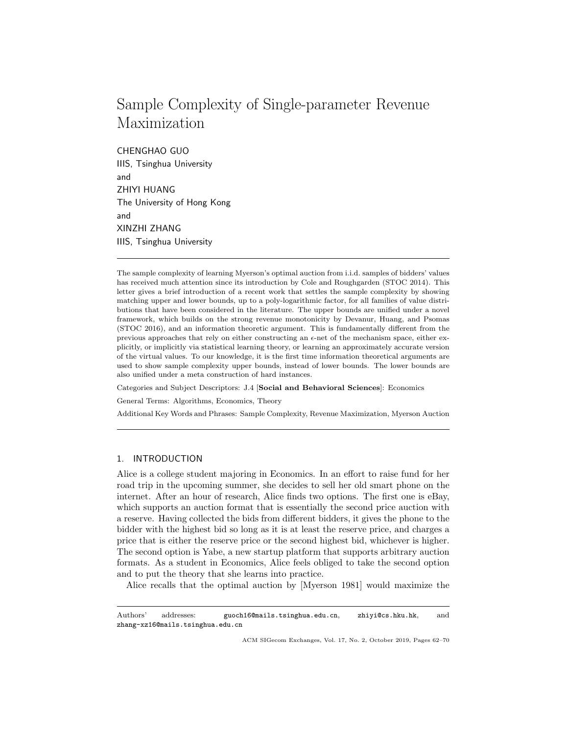# Sample Complexity of Single-parameter Revenue Maximization

CHENGHAO GUO IIIS, Tsinghua University and ZHIYI HUANG The University of Hong Kong and XINZHI ZHANG IIIS, Tsinghua University

The sample complexity of learning Myerson's optimal auction from i.i.d. samples of bidders' values has received much attention since its introduction by Cole and Roughgarden (STOC 2014). This letter gives a brief introduction of a recent work that settles the sample complexity by showing matching upper and lower bounds, up to a poly-logarithmic factor, for all families of value distributions that have been considered in the literature. The upper bounds are unified under a novel framework, which builds on the strong revenue monotonicity by Devanur, Huang, and Psomas (STOC 2016), and an information theoretic argument. This is fundamentally different from the previous approaches that rely on either constructing an  $\epsilon$ -net of the mechanism space, either explicitly, or implicitly via statistical learning theory, or learning an approximately accurate version of the virtual values. To our knowledge, it is the first time information theoretical arguments are used to show sample complexity upper bounds, instead of lower bounds. The lower bounds are also unified under a meta construction of hard instances.

Categories and Subject Descriptors: J.4 [Social and Behavioral Sciences]: Economics

General Terms: Algorithms, Economics, Theory

Additional Key Words and Phrases: Sample Complexity, Revenue Maximization, Myerson Auction

## 1. INTRODUCTION

Alice is a college student majoring in Economics. In an effort to raise fund for her road trip in the upcoming summer, she decides to sell her old smart phone on the internet. After an hour of research, Alice finds two options. The first one is eBay, which supports an auction format that is essentially the second price auction with a reserve. Having collected the bids from different bidders, it gives the phone to the bidder with the highest bid so long as it is at least the reserve price, and charges a price that is either the reserve price or the second highest bid, whichever is higher. The second option is Yabe, a new startup platform that supports arbitrary auction formats. As a student in Economics, Alice feels obliged to take the second option and to put the theory that she learns into practice.

Alice recalls that the optimal auction by [Myerson 1981] would maximize the

Authors' addresses: guoch16@mails.tsinghua.edu.cn, zhiyi@cs.hku.hk, and zhang-xz16@mails.tsinghua.edu.cn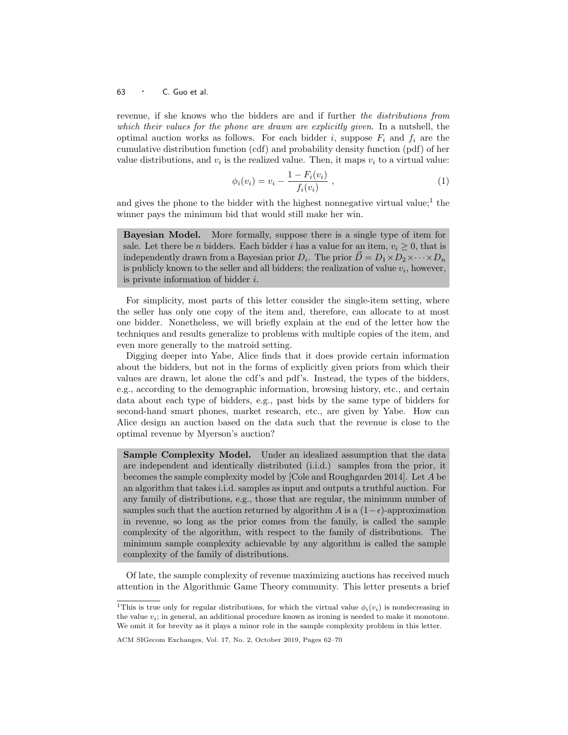revenue, if she knows who the bidders are and if further the distributions from which their values for the phone are drawn are explicitly given. In a nutshell, the optimal auction works as follows. For each bidder i, suppose  $F_i$  and  $f_i$  are the cumulative distribution function (cdf) and probability density function (pdf) of her value distributions, and  $v_i$  is the realized value. Then, it maps  $v_i$  to a virtual value:

$$
\phi_i(v_i) = v_i - \frac{1 - F_i(v_i)}{f_i(v_i)} \t{,} \t(1)
$$

and gives the phone to the bidder with the highest nonnegative virtual value;<sup>1</sup> the winner pays the minimum bid that would still make her win.

Bayesian Model. More formally, suppose there is a single type of item for sale. Let there be *n* bidders. Each bidder *i* has a value for an item,  $v_i \geq 0$ , that is independently drawn from a Bayesian prior  $D_i$ . The prior  $\vec{D} = D_1 \times D_2 \times \cdots \times D_n$ is publicly known to the seller and all bidders; the realization of value  $v_i$ , however, is private information of bidder  $i$ .

For simplicity, most parts of this letter consider the single-item setting, where the seller has only one copy of the item and, therefore, can allocate to at most one bidder. Nonetheless, we will briefly explain at the end of the letter how the techniques and results generalize to problems with multiple copies of the item, and even more generally to the matroid setting.

Digging deeper into Yabe, Alice finds that it does provide certain information about the bidders, but not in the forms of explicitly given priors from which their values are drawn, let alone the cdf's and pdf's. Instead, the types of the bidders, e.g., according to the demographic information, browsing history, etc., and certain data about each type of bidders, e.g., past bids by the same type of bidders for second-hand smart phones, market research, etc., are given by Yabe. How can Alice design an auction based on the data such that the revenue is close to the optimal revenue by Myerson's auction?

Sample Complexity Model. Under an idealized assumption that the data are independent and identically distributed (i.i.d.) samples from the prior, it becomes the sample complexity model by [Cole and Roughgarden 2014]. Let A be an algorithm that takes i.i.d. samples as input and outputs a truthful auction. For any family of distributions, e.g., those that are regular, the minimum number of samples such that the auction returned by algorithm A is a  $(1-\epsilon)$ -approximation in revenue, so long as the prior comes from the family, is called the sample complexity of the algorithm, with respect to the family of distributions. The minimum sample complexity achievable by any algorithm is called the sample complexity of the family of distributions.

Of late, the sample complexity of revenue maximizing auctions has received much attention in the Algorithmic Game Theory community. This letter presents a brief

<sup>&</sup>lt;sup>1</sup>This is true only for regular distributions, for which the virtual value  $\phi_i(v_i)$  is nondecreasing in the value  $v_i$ ; in general, an additional procedure known as ironing is needed to make it monotone. We omit it for brevity as it plays a minor role in the sample complexity problem in this letter.

ACM SIGecom Exchanges, Vol. 17, No. 2, October 2019, Pages 62–70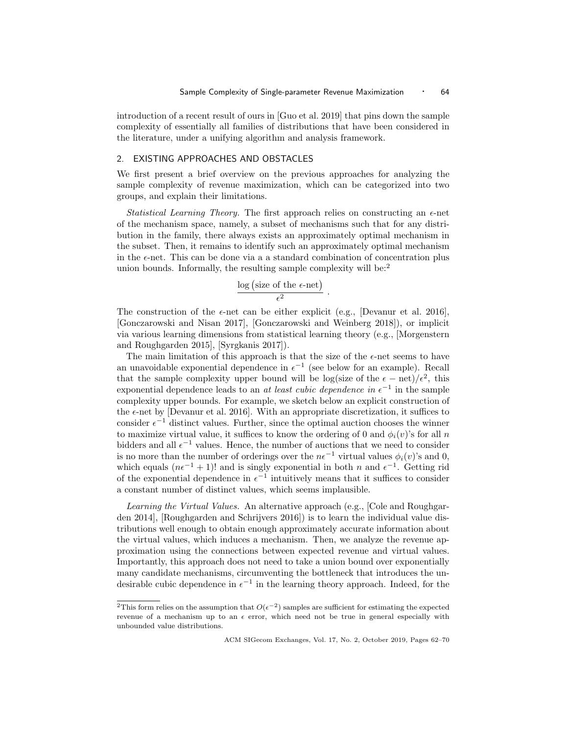introduction of a recent result of ours in [Guo et al. 2019] that pins down the sample complexity of essentially all families of distributions that have been considered in the literature, under a unifying algorithm and analysis framework.

#### 2. EXISTING APPROACHES AND OBSTACLES

We first present a brief overview on the previous approaches for analyzing the sample complexity of revenue maximization, which can be categorized into two groups, and explain their limitations.

Statistical Learning Theory. The first approach relies on constructing an  $\epsilon$ -net of the mechanism space, namely, a subset of mechanisms such that for any distribution in the family, there always exists an approximately optimal mechanism in the subset. Then, it remains to identify such an approximately optimal mechanism in the  $\epsilon$ -net. This can be done via a a standard combination of concentration plus union bounds. Informally, the resulting sample complexity will be:<sup>2</sup>

$$
\frac{\log (\text{size of the }\epsilon\text{-net})}{\epsilon^2}
$$

.

The construction of the  $\epsilon$ -net can be either explicit (e.g., [Devanur et al. 2016], [Gonczarowski and Nisan 2017], [Gonczarowski and Weinberg 2018]), or implicit via various learning dimensions from statistical learning theory (e.g., [Morgenstern and Roughgarden 2015], [Syrgkanis 2017]).

The main limitation of this approach is that the size of the  $\epsilon$ -net seems to have an unavoidable exponential dependence in  $\epsilon^{-1}$  (see below for an example). Recall that the sample complexity upper bound will be log(size of the  $\epsilon - \text{net}$ )/ $\epsilon^2$ , this exponential dependence leads to an *at least cubic dependence in*  $\epsilon^{-1}$  in the sample complexity upper bounds. For example, we sketch below an explicit construction of the  $\epsilon$ -net by [Devanur et al. 2016]. With an appropriate discretization, it suffices to consider  $\epsilon^{-1}$  distinct values. Further, since the optimal auction chooses the winner to maximize virtual value, it suffices to know the ordering of 0 and  $\phi_i(v)$ 's for all n bidders and all  $\epsilon^{-1}$  values. Hence, the number of auctions that we need to consider is no more than the number of orderings over the  $n\epsilon^{-1}$  virtual values  $\phi_i(v)$ 's and 0, which equals  $(n\epsilon^{-1} + 1)!$  and is singly exponential in both n and  $\epsilon^{-1}$ . Getting rid of the exponential dependence in  $\epsilon^{-1}$  intuitively means that it suffices to consider a constant number of distinct values, which seems implausible.

Learning the Virtual Values. An alternative approach (e.g., Cole and Roughgarden 2014], [Roughgarden and Schrijvers 2016]) is to learn the individual value distributions well enough to obtain enough approximately accurate information about the virtual values, which induces a mechanism. Then, we analyze the revenue approximation using the connections between expected revenue and virtual values. Importantly, this approach does not need to take a union bound over exponentially many candidate mechanisms, circumventing the bottleneck that introduces the undesirable cubic dependence in  $\epsilon^{-1}$  in the learning theory approach. Indeed, for the

<sup>&</sup>lt;sup>2</sup>This form relies on the assumption that  $O(\epsilon^{-2})$  samples are sufficient for estimating the expected revenue of a mechanism up to an  $\epsilon$  error, which need not be true in general especially with unbounded value distributions.

ACM SIGecom Exchanges, Vol. 17, No. 2, October 2019, Pages 62–70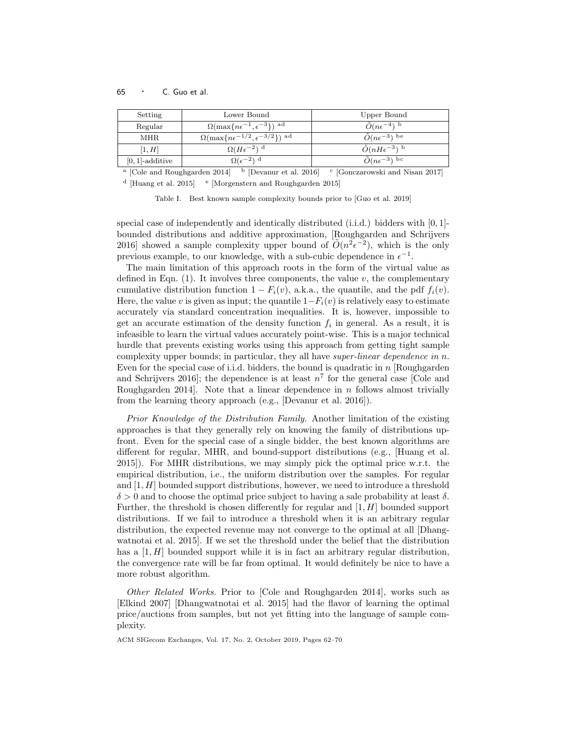| Setting            | Lower Bound                                            | Upper Bound                    |  |
|--------------------|--------------------------------------------------------|--------------------------------|--|
| Regular            | $\Omega(\max\{n\epsilon^{-1}, \epsilon^{-3}\})$ ad     | $\tilde{O}(n\epsilon^{-4})$ b  |  |
| <b>MHR</b>         | $\Omega(\max\{n\epsilon^{-1/2}, \epsilon^{-3/2}\})$ ad | $\tilde{O}(n\epsilon^{-3})$ be |  |
| [1, H]             | $\Omega(H\epsilon^{-2})$ <sup>d</sup>                  | $\tilde{O}(nH\epsilon^{-3})$ b |  |
| $[0, 1]$ -additive | $\Omega(\epsilon^{-2})$ <sup>d</sup>                   | $\tilde{O}(n\epsilon^{-3})$ bc |  |
| .                  |                                                        |                                |  |

<sup>a</sup> [Cole and Roughgarden 2014] <sup>b</sup> [Devanur et al. 2016] <sup>c</sup> [Gonczarowski and Nisan 2017] <sup>d</sup> [Huang et al. 2015] <sup>e</sup> [Morgenstern and Roughgarden 2015]

Table I. Best known sample complexity bounds prior to [Guo et al. 2019]

special case of independently and identically distributed (i.i.d.) bidders with [0, 1] bounded distributions and additive approximation, [Roughgarden and Schrijvers 2016] showed a sample complexity upper bound of  $\tilde{O}(n^2 \epsilon^{-2})$ , which is the only previous example, to our knowledge, with a sub-cubic dependence in  $\epsilon^{-1}$ .

The main limitation of this approach roots in the form of the virtual value as defined in Eqn.  $(1)$ . It involves three components, the value v, the complementary cumulative distribution function  $1 - F_i(v)$ , a.k.a., the quantile, and the pdf  $f_i(v)$ . Here, the value v is given as input; the quantile  $1-F_i(v)$  is relatively easy to estimate accurately via standard concentration inequalities. It is, however, impossible to get an accurate estimation of the density function  $f_i$  in general. As a result, it is infeasible to learn the virtual values accurately point-wise. This is a major technical hurdle that prevents existing works using this approach from getting tight sample complexity upper bounds; in particular, they all have super-linear dependence in  $n$ . Even for the special case of i.i.d. bidders, the bound is quadratic in  $n$  [Roughgarden] and Schrijvers 2016]; the dependence is at least  $n^7$  for the general case [Cole and Roughgarden 2014. Note that a linear dependence in  $n$  follows almost trivially from the learning theory approach (e.g., [Devanur et al. 2016]).

Prior Knowledge of the Distribution Family. Another limitation of the existing approaches is that they generally rely on knowing the family of distributions upfront. Even for the special case of a single bidder, the best known algorithms are different for regular, MHR, and bound-support distributions (e.g., [Huang et al. 2015]). For MHR distributions, we may simply pick the optimal price w.r.t. the empirical distribution, i.e., the uniform distribution over the samples. For regular and  $[1, H]$  bounded support distributions, however, we need to introduce a threshold  $\delta > 0$  and to choose the optimal price subject to having a sale probability at least  $\delta$ . Further, the threshold is chosen differently for regular and [1, H] bounded support distributions. If we fail to introduce a threshold when it is an arbitrary regular distribution, the expected revenue may not converge to the optimal at all [Dhangwatnotai et al. 2015]. If we set the threshold under the belief that the distribution has a  $[1, H]$  bounded support while it is in fact an arbitrary regular distribution, the convergence rate will be far from optimal. It would definitely be nice to have a more robust algorithm.

Other Related Works. Prior to [Cole and Roughgarden 2014], works such as [Elkind 2007] [Dhangwatnotai et al. 2015] had the flavor of learning the optimal price/auctions from samples, but not yet fitting into the language of sample complexity.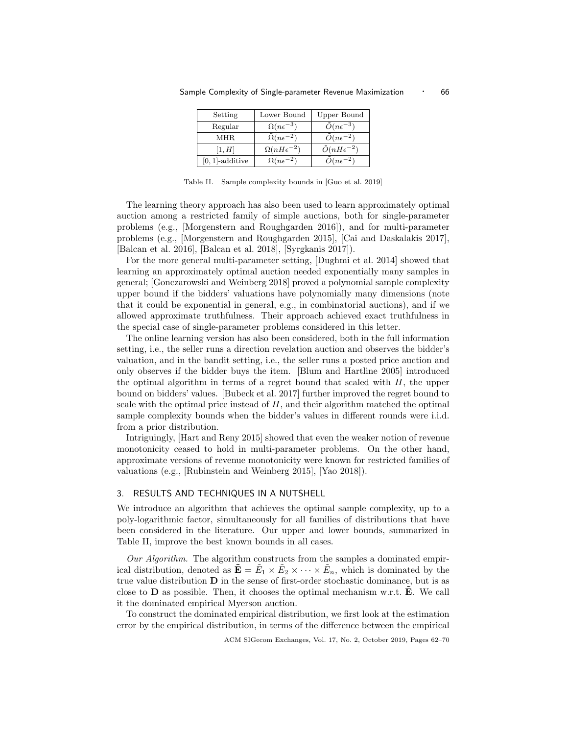| Setting            | Lower Bound               | <b>Upper Bound</b>           |
|--------------------|---------------------------|------------------------------|
| Regular            | $\Omega(n\epsilon^{-3})$  | $\tilde{O}(n\epsilon^{-3})$  |
| MHR                | $\Omega(n\epsilon^{-2})$  | $\tilde{O}(n\epsilon^{-2})$  |
| [1, H]             | $\Omega(nH\epsilon^{-2})$ | $\tilde{O}(nH\epsilon^{-2})$ |
| $[0, 1]$ -additive | $\Omega(n\epsilon^{-2})$  | $\tilde{O}(n\epsilon^{-2})$  |

Sample Complexity of Single-parameter Revenue Maximization • 66

Table II. Sample complexity bounds in [Guo et al. 2019]

The learning theory approach has also been used to learn approximately optimal auction among a restricted family of simple auctions, both for single-parameter problems (e.g., [Morgenstern and Roughgarden 2016]), and for multi-parameter problems (e.g., [Morgenstern and Roughgarden 2015], [Cai and Daskalakis 2017], [Balcan et al. 2016], [Balcan et al. 2018], [Syrgkanis 2017]).

For the more general multi-parameter setting, [Dughmi et al. 2014] showed that learning an approximately optimal auction needed exponentially many samples in general; [Gonczarowski and Weinberg 2018] proved a polynomial sample complexity upper bound if the bidders' valuations have polynomially many dimensions (note that it could be exponential in general, e.g., in combinatorial auctions), and if we allowed approximate truthfulness. Their approach achieved exact truthfulness in the special case of single-parameter problems considered in this letter.

The online learning version has also been considered, both in the full information setting, i.e., the seller runs a direction revelation auction and observes the bidder's valuation, and in the bandit setting, i.e., the seller runs a posted price auction and only observes if the bidder buys the item. [Blum and Hartline 2005] introduced the optimal algorithm in terms of a regret bound that scaled with  $H$ , the upper bound on bidders' values. [Bubeck et al. 2017] further improved the regret bound to scale with the optimal price instead of  $H$ , and their algorithm matched the optimal sample complexity bounds when the bidder's values in different rounds were i.i.d. from a prior distribution.

Intriguingly, [Hart and Reny 2015] showed that even the weaker notion of revenue monotonicity ceased to hold in multi-parameter problems. On the other hand, approximate versions of revenue monotonicity were known for restricted families of valuations (e.g., [Rubinstein and Weinberg 2015], [Yao 2018]).

#### 3. RESULTS AND TECHNIQUES IN A NUTSHELL

We introduce an algorithm that achieves the optimal sample complexity, up to a poly-logarithmic factor, simultaneously for all families of distributions that have been considered in the literature. Our upper and lower bounds, summarized in Table II, improve the best known bounds in all cases.

Our Algorithm. The algorithm constructs from the samples a dominated empirical distribution, denoted as  $\tilde{\mathbf{E}} = \tilde{E}_1 \times \tilde{E}_2 \times \cdots \times \tilde{E}_n$ , which is dominated by the true value distribution  $D$  in the sense of first-order stochastic dominance, but is as close to  **as possible. Then, it chooses the optimal mechanism w.r.t.**  $\bf{E}$ **. We call** it the dominated empirical Myerson auction.

To construct the dominated empirical distribution, we first look at the estimation error by the empirical distribution, in terms of the difference between the empirical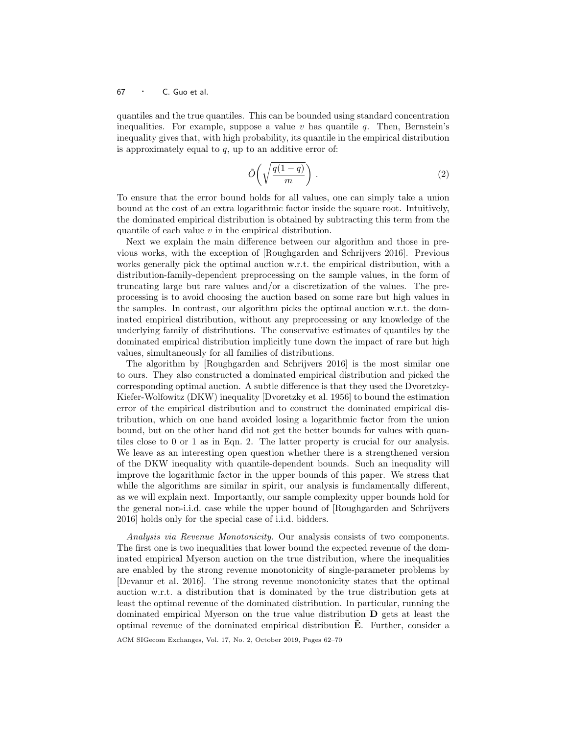quantiles and the true quantiles. This can be bounded using standard concentration inequalities. For example, suppose a value  $v$  has quantile  $q$ . Then, Bernstein's inequality gives that, with high probability, its quantile in the empirical distribution is approximately equal to  $q$ , up to an additive error of:

$$
\tilde{O}\left(\sqrt{\frac{q(1-q)}{m}}\right). \tag{2}
$$

To ensure that the error bound holds for all values, one can simply take a union bound at the cost of an extra logarithmic factor inside the square root. Intuitively, the dominated empirical distribution is obtained by subtracting this term from the quantile of each value  $v$  in the empirical distribution.

Next we explain the main difference between our algorithm and those in previous works, with the exception of [Roughgarden and Schrijvers 2016]. Previous works generally pick the optimal auction w.r.t. the empirical distribution, with a distribution-family-dependent preprocessing on the sample values, in the form of truncating large but rare values and/or a discretization of the values. The preprocessing is to avoid choosing the auction based on some rare but high values in the samples. In contrast, our algorithm picks the optimal auction w.r.t. the dominated empirical distribution, without any preprocessing or any knowledge of the underlying family of distributions. The conservative estimates of quantiles by the dominated empirical distribution implicitly tune down the impact of rare but high values, simultaneously for all families of distributions.

The algorithm by [Roughgarden and Schrijvers 2016] is the most similar one to ours. They also constructed a dominated empirical distribution and picked the corresponding optimal auction. A subtle difference is that they used the Dvoretzky-Kiefer-Wolfowitz (DKW) inequality [Dvoretzky et al. 1956] to bound the estimation error of the empirical distribution and to construct the dominated empirical distribution, which on one hand avoided losing a logarithmic factor from the union bound, but on the other hand did not get the better bounds for values with quantiles close to 0 or 1 as in Eqn. 2. The latter property is crucial for our analysis. We leave as an interesting open question whether there is a strengthened version of the DKW inequality with quantile-dependent bounds. Such an inequality will improve the logarithmic factor in the upper bounds of this paper. We stress that while the algorithms are similar in spirit, our analysis is fundamentally different, as we will explain next. Importantly, our sample complexity upper bounds hold for the general non-i.i.d. case while the upper bound of [Roughgarden and Schrijvers 2016] holds only for the special case of i.i.d. bidders.

Analysis via Revenue Monotonicity. Our analysis consists of two components. The first one is two inequalities that lower bound the expected revenue of the dominated empirical Myerson auction on the true distribution, where the inequalities are enabled by the strong revenue monotonicity of single-parameter problems by [Devanur et al. 2016]. The strong revenue monotonicity states that the optimal auction w.r.t. a distribution that is dominated by the true distribution gets at least the optimal revenue of the dominated distribution. In particular, running the dominated empirical Myerson on the true value distribution D gets at least the optimal revenue of the dominated empirical distribution  $E$ . Further, consider a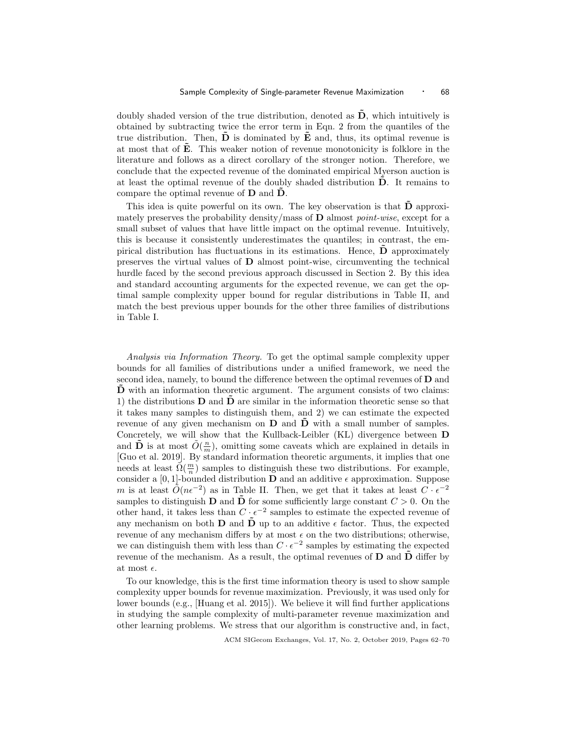doubly shaded version of the true distribution, denoted as  $\tilde{\mathbf{D}}$ , which intuitively is obtained by subtracting twice the error term in Eqn. 2 from the quantiles of the true distribution. Then,  $\hat{\mathbf{D}}$  is dominated by  $\hat{\mathbf{E}}$  and, thus, its optimal revenue is at most that of **E**. This weaker notion of revenue monotonicity is folklore in the literature and follows as a direct corollary of the stronger notion. Therefore, we conclude that the expected revenue of the dominated empirical Myerson auction is at least the optimal revenue of the doubly shaded distribution  $\dot{\mathbf{D}}$ . It remains to compare the optimal revenue of  $D$  and  $\ddot{D}$ .

This idea is quite powerful on its own. The key observation is that  $\tilde{\mathbf{D}}$  approximately preserves the probability density/mass of  $\bf{D}$  almost *point-wise*, except for a small subset of values that have little impact on the optimal revenue. Intuitively, this is because it consistently underestimates the quantiles; in contrast, the empirical distribution has fluctuations in its estimations. Hence,  **approximately** preserves the virtual values of  $D$  almost point-wise, circumventing the technical hurdle faced by the second previous approach discussed in Section 2. By this idea and standard accounting arguments for the expected revenue, we can get the optimal sample complexity upper bound for regular distributions in Table II, and match the best previous upper bounds for the other three families of distributions in Table I.

Analysis via Information Theory. To get the optimal sample complexity upper bounds for all families of distributions under a unified framework, we need the second idea, namely, to bound the difference between the optimal revenues of  **and**  $\overline{D}$  with an information theoretic argument. The argument consists of two claims: 1) the distributions  $\bf{D}$  and  $\bf{D}$  are similar in the information theoretic sense so that it takes many samples to distinguish them, and 2) we can estimate the expected revenue of any given mechanism on  $D$  and  $\bar{D}$  with a small number of samples. Concretely, we will show that the Kullback-Leibler (KL) divergence between D and  $\tilde{\mathbf{D}}$  is at most  $\tilde{O}(\frac{n}{m})$ , omitting some caveats which are explained in details in [Guo et al. 2019]. By standard information theoretic arguments, it implies that one needs at least  $\tilde{\Omega}(\frac{m}{n})$  samples to distinguish these two distributions. For example, consider a [0, 1]-bounded distribution **D** and an additive  $\epsilon$  approximation. Suppose m is at least  $\tilde{O}(n\epsilon^{-2})$  as in Table II. Then, we get that it takes at least  $C \cdot \epsilon^{-2}$ samples to distinguish **D** and  $\tilde{\mathbf{D}}$  for some sufficiently large constant  $C > 0$ . On the other hand, it takes less than  $C \cdot \epsilon^{-2}$  samples to estimate the expected revenue of any mechanism on both **D** and  $\bar{\mathbf{D}}$  up to an additive  $\epsilon$  factor. Thus, the expected revenue of any mechanism differs by at most  $\epsilon$  on the two distributions; otherwise, we can distinguish them with less than  $C \cdot \epsilon^{-2}$  samples by estimating the expected revenue of the mechanism. As a result, the optimal revenues of  $D$  and  $\tilde{D}$  differ by at most  $\epsilon$ .

To our knowledge, this is the first time information theory is used to show sample complexity upper bounds for revenue maximization. Previously, it was used only for lower bounds (e.g., [Huang et al. 2015]). We believe it will find further applications in studying the sample complexity of multi-parameter revenue maximization and other learning problems. We stress that our algorithm is constructive and, in fact,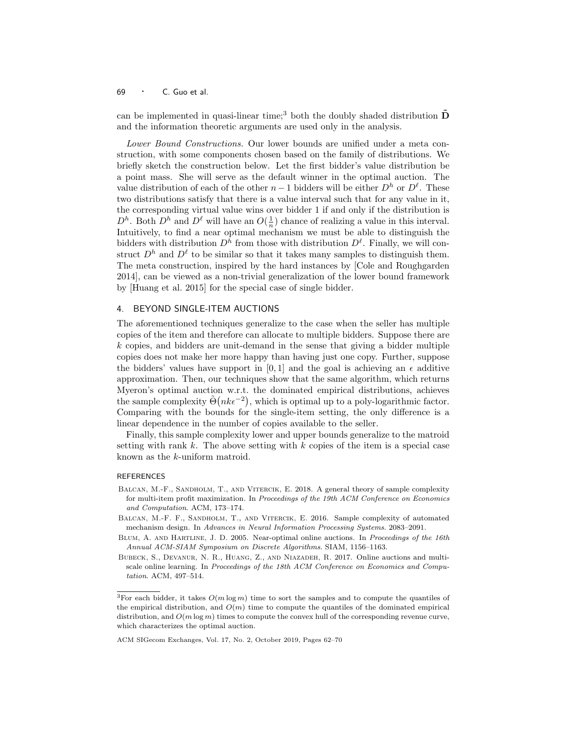can be implemented in quasi-linear time;<sup>3</sup> both the doubly shaded distribution  $\overline{D}$ and the information theoretic arguments are used only in the analysis.

Lower Bound Constructions. Our lower bounds are unified under a meta construction, with some components chosen based on the family of distributions. We briefly sketch the construction below. Let the first bidder's value distribution be a point mass. She will serve as the default winner in the optimal auction. The value distribution of each of the other  $n-1$  bidders will be either  $D^h$  or  $D^{\ell}$ . These two distributions satisfy that there is a value interval such that for any value in it, the corresponding virtual value wins over bidder 1 if and only if the distribution is  $D^h$ . Both  $D^h$  and  $D^{\ell}$  will have an  $O(\frac{1}{n})$  chance of realizing a value in this interval. Intuitively, to find a near optimal mechanism we must be able to distinguish the bidders with distribution  $D^h$  from those with distribution  $D^{\ell}$ . Finally, we will construct  $D^h$  and  $D^{\ell}$  to be similar so that it takes many samples to distinguish them. The meta construction, inspired by the hard instances by [Cole and Roughgarden 2014], can be viewed as a non-trivial generalization of the lower bound framework by [Huang et al. 2015] for the special case of single bidder.

### 4. BEYOND SINGLE-ITEM AUCTIONS

The aforementioned techniques generalize to the case when the seller has multiple copies of the item and therefore can allocate to multiple bidders. Suppose there are  $k$  copies, and bidders are unit-demand in the sense that giving a bidder multiple copies does not make her more happy than having just one copy. Further, suppose the bidders' values have support in [0, 1] and the goal is achieving an  $\epsilon$  additive approximation. Then, our techniques show that the same algorithm, which returns Myeron's optimal auction w.r.t. the dominated empirical distributions, achieves the sample complexity  $\tilde{\Theta}(nk\epsilon^{-2})$ , which is optimal up to a poly-logarithmic factor. Comparing with the bounds for the single-item setting, the only difference is a linear dependence in the number of copies available to the seller.

Finally, this sample complexity lower and upper bounds generalize to the matroid setting with rank  $k$ . The above setting with  $k$  copies of the item is a special case known as the k-uniform matroid.

#### REFERENCES

- BALCAN, M.-F., SANDHOLM, T., AND VITERCIK, E. 2018. A general theory of sample complexity for multi-item profit maximization. In Proceedings of the 19th ACM Conference on Economics and Computation. ACM, 173–174.
- BALCAN, M.-F. F., SANDHOLM, T., AND VITERCIK, E. 2016. Sample complexity of automated mechanism design. In Advances in Neural Information Processing Systems. 2083–2091.
- BLUM, A. AND HARTLINE, J. D. 2005. Near-optimal online auctions. In Proceedings of the 16th Annual ACM-SIAM Symposium on Discrete Algorithms. SIAM, 1156–1163.
- Bubeck, S., Devanur, N. R., Huang, Z., and Niazadeh, R. 2017. Online auctions and multiscale online learning. In Proceedings of the 18th ACM Conference on Economics and Computation. ACM, 497–514.

<sup>&</sup>lt;sup>3</sup>For each bidder, it takes  $O(m \log m)$  time to sort the samples and to compute the quantiles of the empirical distribution, and  $O(m)$  time to compute the quantiles of the dominated empirical distribution, and  $O(m \log m)$  times to compute the convex hull of the corresponding revenue curve, which characterizes the optimal auction.

ACM SIGecom Exchanges, Vol. 17, No. 2, October 2019, Pages 62–70